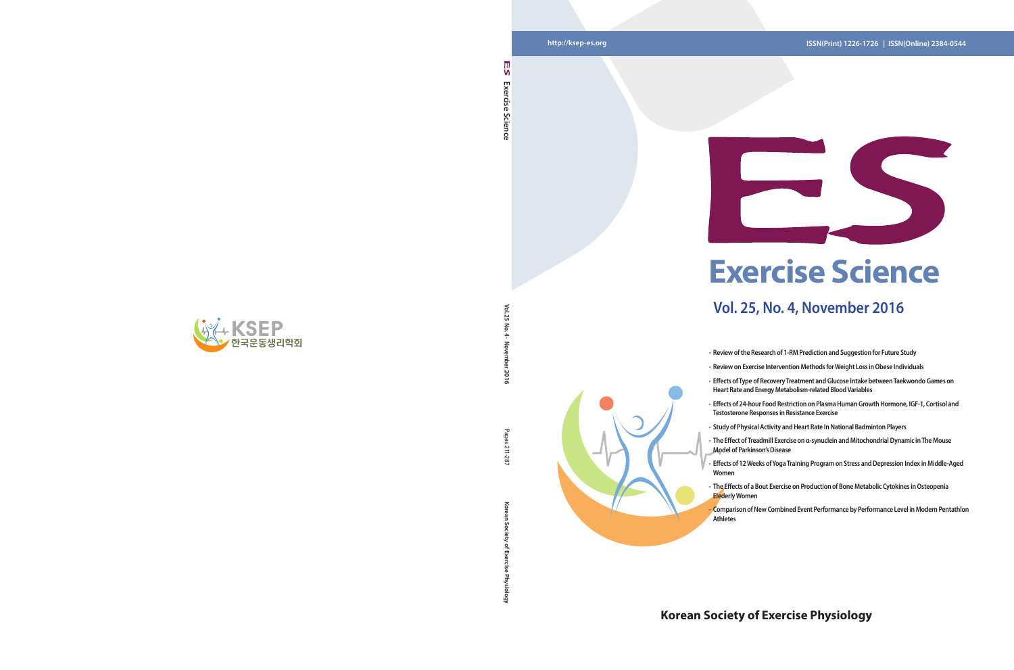**Vol. 25 No. 4 · November 2016**

2016

៍ یز

**Korean Society of Exercise Physiology** Pages 211-287

ਨ

Pages 211-287

## **http://ksep-es.org ISSN(Print) 1226-1726 | ISSN(Online) 2384-0544**

## **Korean Society of Exercise Physiology**



**Exercise Science** 

Science

Exercise

۱n



- **- Review of the Research of 1-RM Prediction and Suggestion for Future Study**
	-
- **- Effects of 24-hour Food Restriction on Plasma Human Growth Hormone, IGF-1, Cortisol and Testosterone Responses in Resistance Exercise**
- **- Study of Physical Activity and Heart Rate In National Badminton Players**
- **- Effects of 12 Weeks of Yoga Training Program on Stress and Depression Index in Middle-Aged**
- **- The Effects of a Bout Exercise on Production of Bone Metabolic Cytokines in Osteopenia**
- **- Comparison of New Combined Event Performance by Performance Level in Modern Pentathlon**
- 
- **- Review on Exercise Intervention Methods for Weight Loss in Obese Individuals - Effects of Type of Recovery Treatment and Glucose Intake between Taekwondo Games on Heart Rate and Energy Metabolism-related Blood Variables**
- -
- **- The Effect of Treadmill Exercise on α-synuclein and Mitochondrial Dynamic in The Mouse Model of Parkinson's Disease**
- **Women**
- **Elederly Women**
- **Athletes**